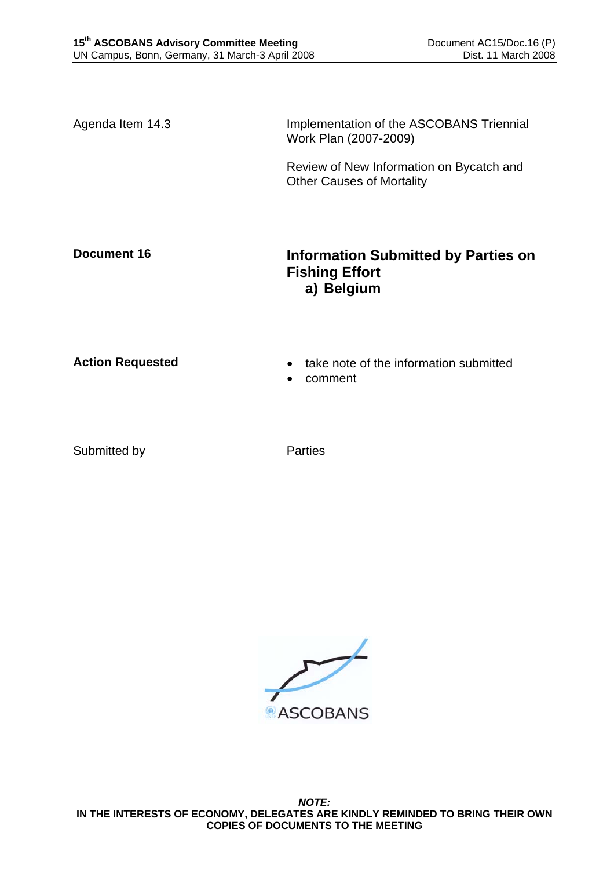Agenda Item 14.3 Implementation of the ASCOBANS Triennial Work Plan (2007-2009)

> Review of New Information on Bycatch and Other Causes of Mortality

# **Document 16 Information Submitted by Parties on Fishing Effort a) Belgium**

- **Action Requested**  take note of the information submitted
	- comment

Submitted by Parties

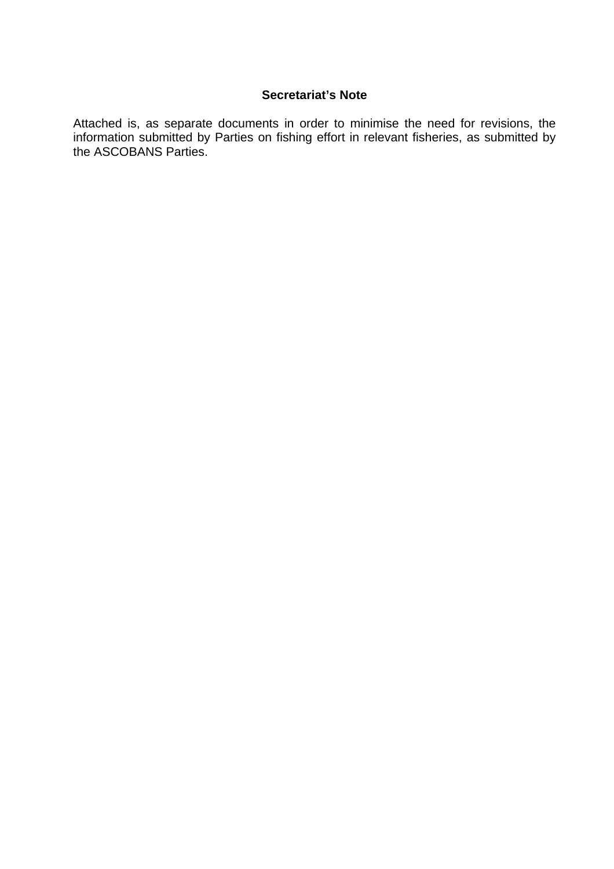### **Secretariat's Note**

Attached is, as separate documents in order to minimise the need for revisions, the information submitted by Parties on fishing effort in relevant fisheries, as submitted by the ASCOBANS Parties.